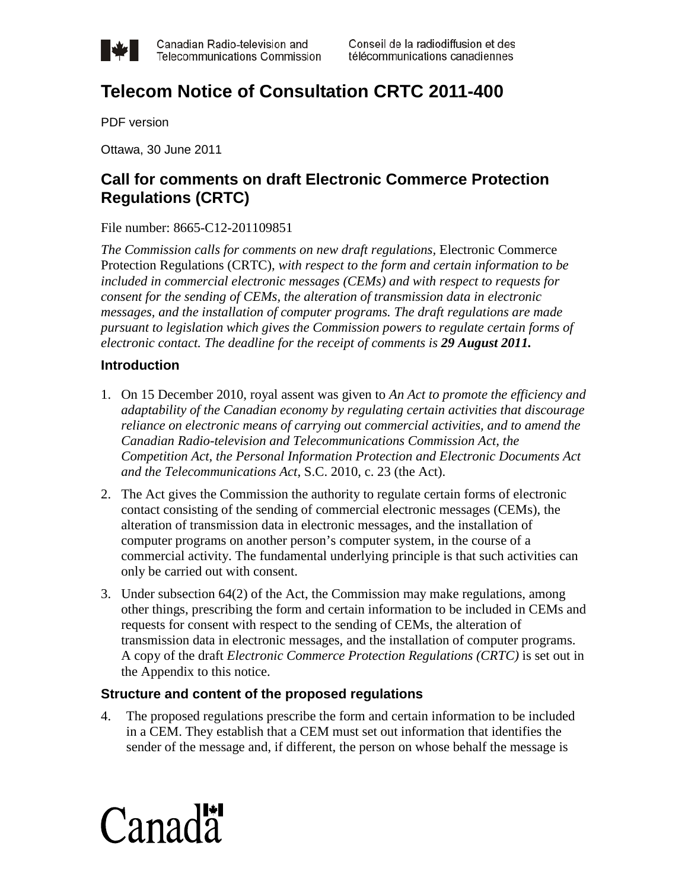

## **Telecom Notice of Consultation CRTC 2011-400**

PDF version

Ottawa, 30 June 2011

## **Call for comments on draft Electronic Commerce Protection Regulations (CRTC)**

File number: 8665-C12-201109851

*The Commission calls for comments on new draft regulations,* Electronic Commerce Protection Regulations (CRTC), *with respect to the form and certain information to be included in commercial electronic messages (CEMs) and with respect to requests for consent for the sending of CEMs, the alteration of transmission data in electronic messages, and the installation of computer programs. The draft regulations are made pursuant to legislation which gives the Commission powers to regulate certain forms of electronic contact. The deadline for the receipt of comments is 29 August 2011.*

## **Introduction**

- 1. On 15 December 2010, royal assent was given to *An Act to promote the efficiency and adaptability of the Canadian economy by regulating certain activities that discourage reliance on electronic means of carrying out commercial activities, and to amend the Canadian Radio-television and Telecommunications Commission Act, the Competition Act, the Personal Information Protection and Electronic Documents Act and the Telecommunications Act*, S.C. 2010, c. 23 (the Act).
- 2. The Act gives the Commission the authority to regulate certain forms of electronic contact consisting of the sending of commercial electronic messages (CEMs), the alteration of transmission data in electronic messages, and the installation of computer programs on another person's computer system, in the course of a commercial activity. The fundamental underlying principle is that such activities can only be carried out with consent.
- 3. Under subsection 64(2) of the Act, the Commission may make regulations, among other things, prescribing the form and certain information to be included in CEMs and requests for consent with respect to the sending of CEMs, the alteration of transmission data in electronic messages, and the installation of computer programs. A copy of the draft *Electronic Commerce Protection Regulations (CRTC)* is set out in the Appendix to this notice.

## **Structure and content of the proposed regulations**

4. The proposed regulations prescribe the form and certain information to be included in a CEM. They establish that a CEM must set out information that identifies the sender of the message and, if different, the person on whose behalf the message is

# $C$ anada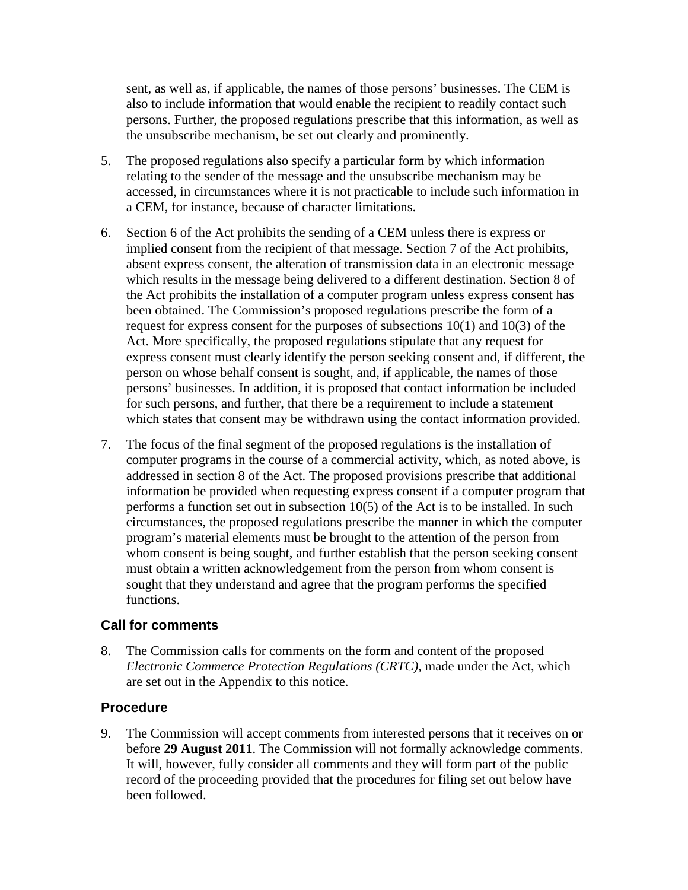sent, as well as, if applicable, the names of those persons' businesses. The CEM is also to include information that would enable the recipient to readily contact such persons. Further, the proposed regulations prescribe that this information, as well as the unsubscribe mechanism, be set out clearly and prominently.

- 5. The proposed regulations also specify a particular form by which information relating to the sender of the message and the unsubscribe mechanism may be accessed, in circumstances where it is not practicable to include such information in a CEM, for instance, because of character limitations.
- 6. Section 6 of the Act prohibits the sending of a CEM unless there is express or implied consent from the recipient of that message. Section 7 of the Act prohibits, absent express consent, the alteration of transmission data in an electronic message which results in the message being delivered to a different destination. Section 8 of the Act prohibits the installation of a computer program unless express consent has been obtained. The Commission's proposed regulations prescribe the form of a request for express consent for the purposes of subsections 10(1) and 10(3) of the Act. More specifically, the proposed regulations stipulate that any request for express consent must clearly identify the person seeking consent and, if different, the person on whose behalf consent is sought, and, if applicable, the names of those persons' businesses. In addition, it is proposed that contact information be included for such persons, and further, that there be a requirement to include a statement which states that consent may be withdrawn using the contact information provided.
- 7. The focus of the final segment of the proposed regulations is the installation of computer programs in the course of a commercial activity, which, as noted above, is addressed in section 8 of the Act. The proposed provisions prescribe that additional information be provided when requesting express consent if a computer program that performs a function set out in subsection 10(5) of the Act is to be installed. In such circumstances, the proposed regulations prescribe the manner in which the computer program's material elements must be brought to the attention of the person from whom consent is being sought, and further establish that the person seeking consent must obtain a written acknowledgement from the person from whom consent is sought that they understand and agree that the program performs the specified functions.

## **Call for comments**

8. The Commission calls for comments on the form and content of the proposed *Electronic Commerce Protection Regulations (CRTC)*, made under the Act, which are set out in the Appendix to this notice.

## **Procedure**

9. The Commission will accept comments from interested persons that it receives on or before **29 August 2011**. The Commission will not formally acknowledge comments. It will, however, fully consider all comments and they will form part of the public record of the proceeding provided that the procedures for filing set out below have been followed.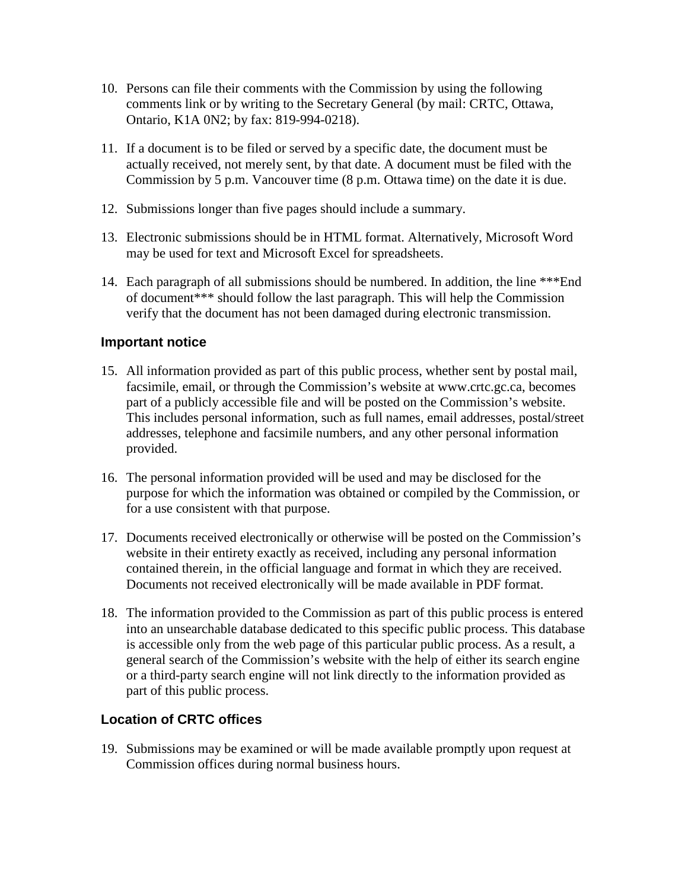- 10. Persons can file their comments with the Commission by using the following comments link or by writing to the Secretary General (by mail: CRTC, Ottawa, Ontario, K1A 0N2; by fax: 819-994-0218).
- 11. If a document is to be filed or served by a specific date, the document must be actually received, not merely sent, by that date. A document must be filed with the Commission by 5 p.m. Vancouver time (8 p.m. Ottawa time) on the date it is due.
- 12. Submissions longer than five pages should include a summary.
- 13. Electronic submissions should be in HTML format. Alternatively, Microsoft Word may be used for text and Microsoft Excel for spreadsheets.
- 14. Each paragraph of all submissions should be numbered. In addition, the line \*\*\*End of document\*\*\* should follow the last paragraph. This will help the Commission verify that the document has not been damaged during electronic transmission.

## **Important notice**

- 15. All information provided as part of this public process, whether sent by postal mail, facsimile, email, or through the Commission's website at www.crtc.gc.ca, becomes part of a publicly accessible file and will be posted on the Commission's website. This includes personal information, such as full names, email addresses, postal/street addresses, telephone and facsimile numbers, and any other personal information provided.
- 16. The personal information provided will be used and may be disclosed for the purpose for which the information was obtained or compiled by the Commission, or for a use consistent with that purpose.
- 17. Documents received electronically or otherwise will be posted on the Commission's website in their entirety exactly as received, including any personal information contained therein, in the official language and format in which they are received. Documents not received electronically will be made available in PDF format.
- 18. The information provided to the Commission as part of this public process is entered into an unsearchable database dedicated to this specific public process. This database is accessible only from the web page of this particular public process. As a result, a general search of the Commission's website with the help of either its search engine or a third-party search engine will not link directly to the information provided as part of this public process.

## **Location of CRTC offices**

19. Submissions may be examined or will be made available promptly upon request at Commission offices during normal business hours.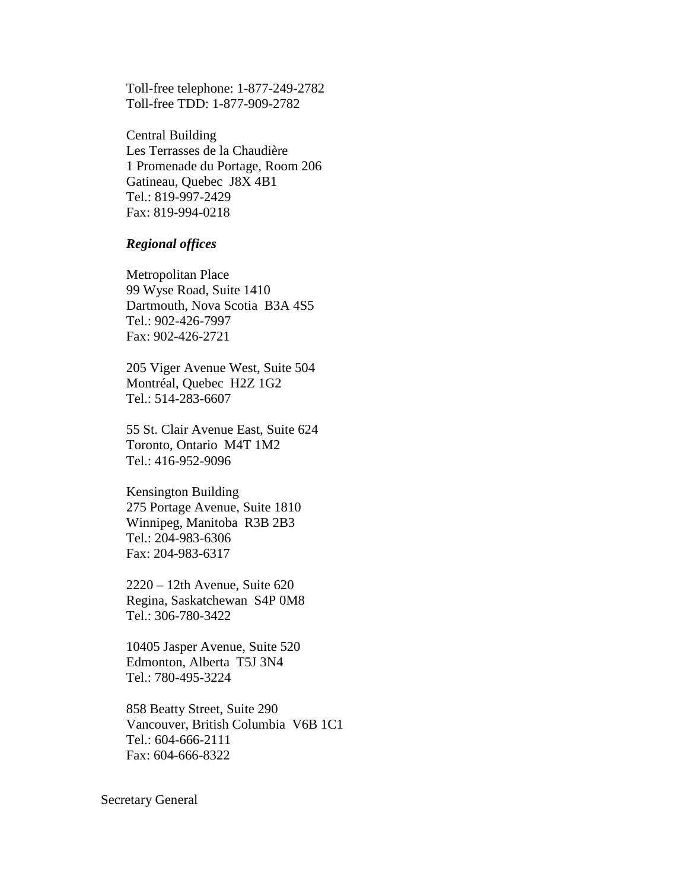Toll-free telephone: 1-877-249-2782 Toll-free TDD: 1-877-909-2782

Central Building Les Terrasses de la Chaudière 1 Promenade du Portage, Room 206 Gatineau, Quebec J8X 4B1 Tel.: 819-997-2429 Fax: 819-994-0218

#### *Regional offices*

Metropolitan Place 99 Wyse Road, Suite 1410 Dartmouth, Nova Scotia B3A 4S5 Tel.: 902-426-7997 Fax: 902-426-2721

205 Viger Avenue West, Suite 504 Montréal, Quebec H2Z 1G2 Tel.: 514-283-6607

55 St. Clair Avenue East, Suite 624 Toronto, Ontario M4T 1M2 Tel.: 416-952-9096

Kensington Building 275 Portage Avenue, Suite 1810 Winnipeg, Manitoba R3B 2B3 Tel.: 204-983-6306 Fax: 204-983-6317

2220 – 12th Avenue, Suite 620 Regina, Saskatchewan S4P 0M8 Tel.: 306-780-3422

10405 Jasper Avenue, Suite 520 Edmonton, Alberta T5J 3N4 Tel.: 780-495-3224

858 Beatty Street, Suite 290 Vancouver, British Columbia V6B 1C1 Tel.: 604-666-2111 Fax: 604-666-8322

Secretary General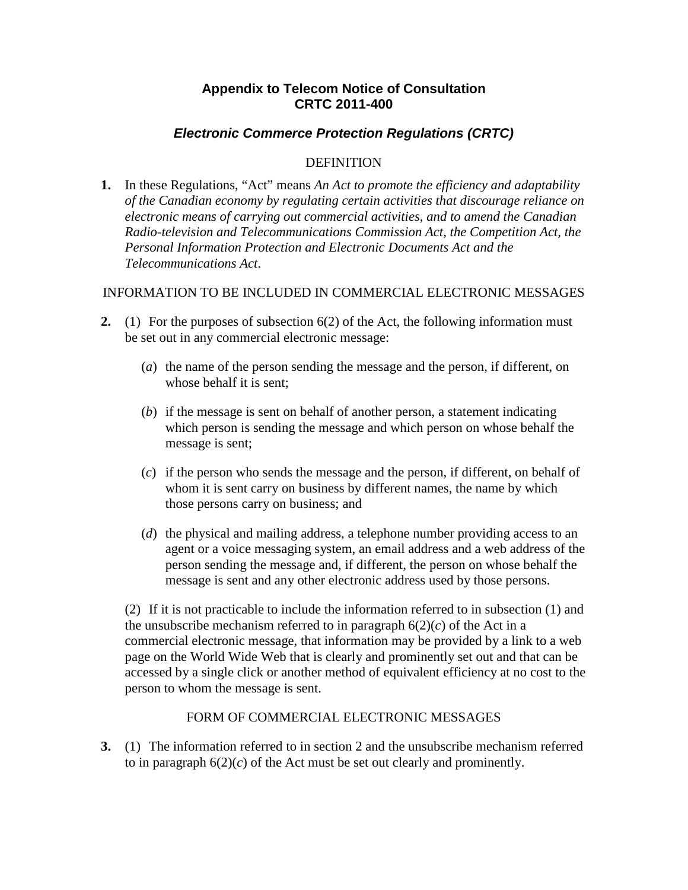## **Appendix to Telecom Notice of Consultation CRTC 2011-400**

## *Electronic Commerce Protection Regulations (CRTC)*

### DEFINITION

**1.** In these Regulations, "Act" means *An Act to promote the efficiency and adaptability of the Canadian economy by regulating certain activities that discourage reliance on electronic means of carrying out commercial activities, and to amend the Canadian Radio-television and Telecommunications Commission Act, the Competition Act, the Personal Information Protection and Electronic Documents Act and the Telecommunications Act*.

## INFORMATION TO BE INCLUDED IN COMMERCIAL ELECTRONIC MESSAGES

- **2.** (1) For the purposes of subsection 6(2) of the Act, the following information must be set out in any commercial electronic message:
	- (*a*) the name of the person sending the message and the person, if different, on whose behalf it is sent;
	- (*b*) if the message is sent on behalf of another person, a statement indicating which person is sending the message and which person on whose behalf the message is sent;
	- (*c*) if the person who sends the message and the person, if different, on behalf of whom it is sent carry on business by different names, the name by which those persons carry on business; and
	- (*d*) the physical and mailing address, a telephone number providing access to an agent or a voice messaging system, an email address and a web address of the person sending the message and, if different, the person on whose behalf the message is sent and any other electronic address used by those persons.

(2) If it is not practicable to include the information referred to in subsection (1) and the unsubscribe mechanism referred to in paragraph  $6(2)(c)$  of the Act in a commercial electronic message, that information may be provided by a link to a web page on the World Wide Web that is clearly and prominently set out and that can be accessed by a single click or another method of equivalent efficiency at no cost to the person to whom the message is sent.

## FORM OF COMMERCIAL ELECTRONIC MESSAGES

**3.** (1) The information referred to in section 2 and the unsubscribe mechanism referred to in paragraph  $6(2)(c)$  of the Act must be set out clearly and prominently.